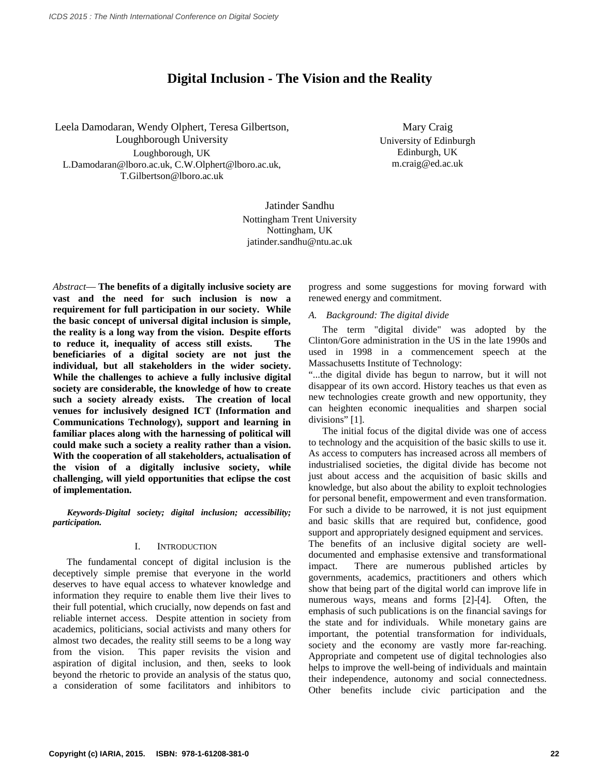# **Digital Inclusion - The Vision and the Reality**

Leela Damodaran, Wendy Olphert, Teresa Gilbertson, Loughborough University Loughborough, UK L.Damodaran@lboro.ac.uk, C.W.Olphert@lboro.ac.uk, T.Gilbertson@lboro.ac.uk

Mary Craig University of Edinburgh Edinburgh, UK m.craig@ed.ac.uk

Jatinder Sandhu Nottingham Trent University Nottingham, UK jatinder.sandhu@ntu.ac.uk

*Abstract*— **The benefits of a digitally inclusive society are vast and the need for such inclusion is now a requirement for full participation in our society. While the basic concept of universal digital inclusion is simple, the reality is a long way from the vision. Despite efforts to reduce it, inequality of access still exists. The beneficiaries of a digital society are not just the individual, but all stakeholders in the wider society. While the challenges to achieve a fully inclusive digital society are considerable, the knowledge of how to create such a society already exists. The creation of local venues for inclusively designed ICT (Information and Communications Technology), support and learning in familiar places along with the harnessing of political will could make such a society a reality rather than a vision. With the cooperation of all stakeholders, actualisation of the vision of a digitally inclusive society, while challenging, will yield opportunities that eclipse the cost of implementation.**

*Keywords-Digital society; digital inclusion; accessibility; participation.*

#### I. INTRODUCTION

The fundamental concept of digital inclusion is the deceptively simple premise that everyone in the world deserves to have equal access to whatever knowledge and information they require to enable them live their lives to their full potential, which crucially, now depends on fast and reliable internet access. Despite attention in society from academics, politicians, social activists and many others for almost two decades, the reality still seems to be a long way from the vision. This paper revisits the vision and aspiration of digital inclusion, and then, seeks to look beyond the rhetoric to provide an analysis of the status quo, a consideration of some facilitators and inhibitors to

progress and some suggestions for moving forward with renewed energy and commitment.

# *A. Background: The digital divide*

The term "digital divide" was adopted by the Clinton/Gore administration in the US in the late 1990s and used in 1998 in a commencement speech at the Massachusetts Institute of Technology:

"...the digital divide has begun to narrow, but it will not disappear of its own accord. History teaches us that even as new technologies create growth and new opportunity, they can heighten economic inequalities and sharpen social divisions" [1].

The initial focus of the digital divide was one of access to technology and the acquisition of the basic skills to use it. As access to computers has increased across all members of industrialised societies, the digital divide has become not just about access and the acquisition of basic skills and knowledge, but also about the ability to exploit technologies for personal benefit, empowerment and even transformation. For such a divide to be narrowed, it is not just equipment and basic skills that are required but, confidence, good support and appropriately designed equipment and services. The benefits of an inclusive digital society are welldocumented and emphasise extensive and transformational impact. There are numerous published articles by governments, academics, practitioners and others which show that being part of the digital world can improve life in numerous ways, means and forms [2]-[4]. Often, the emphasis of such publications is on the financial savings for the state and for individuals. While monetary gains are important, the potential transformation for individuals, society and the economy are vastly more far-reaching. Appropriate and competent use of digital technologies also helps to improve the well-being of individuals and maintain their independence, autonomy and social connectedness. Other benefits include civic participation and the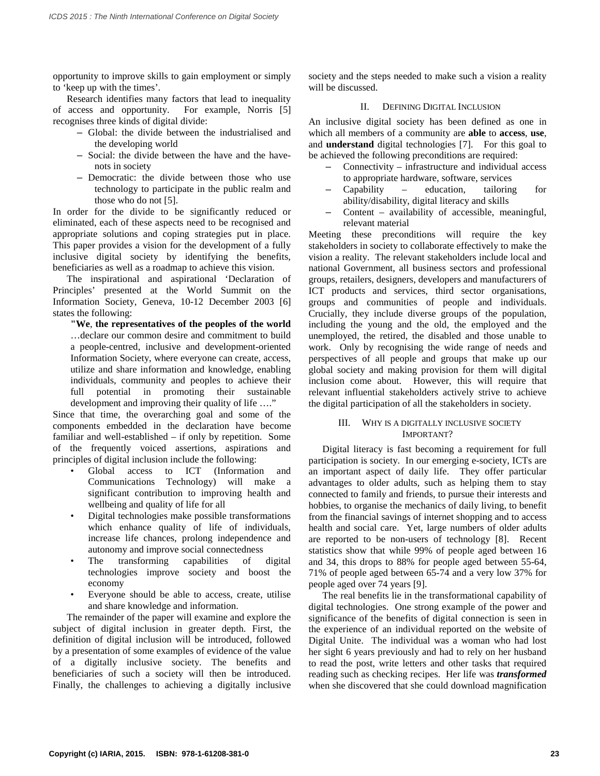opportunity to improve skills to gain employment or simply to 'keep up with the times'.

Research identifies many factors that lead to inequality of access and opportunity. For example, Norris [5] recognises three kinds of digital divide:

- Global: the divide between the industrialised and the developing world
- Social: the divide between the have and the havenots in society
- Democratic: the divide between those who use technology to participate in the public realm and those who do not [5].

In order for the divide to be significantly reduced or eliminated, each of these aspects need to be recognised and appropriate solutions and coping strategies put in place. This paper provides a vision for the development of a fully inclusive digital society by identifying the benefits, beneficiaries as well as a roadmap to achieve this vision.

The inspirational and aspirational 'Declaration of Principles' presented at the World Summit on the Information Society, Geneva, 10-12 December 2003 [6] states the following:

**"We**, **the representatives of the peoples of the world**

…declare our common desire and commitment to build a people-centred, inclusive and development-oriented Information Society, where everyone can create, access, utilize and share information and knowledge, enabling individuals, community and peoples to achieve their full potential in promoting their sustainable development and improving their quality of life …."

Since that time, the overarching goal and some of the components embedded in the declaration have become familiar and well-established – if only by repetition. Some of the frequently voiced assertions, aspirations and principles of digital inclusion include the following:

- Global access to ICT (Information and Communications Technology) will make a Communications Technology) significant contribution to improving health and wellbeing and quality of life for all
- Digital technologies make possible transformations which enhance quality of life of individuals, increase life chances, prolong independence and autonomy and improve social connectedness
- The transforming capabilities of digital technologies improve society and boost the economy
- Everyone should be able to access, create, utilise and share knowledge and information.

The remainder of the paper will examine and explore the subject of digital inclusion in greater depth. First, the definition of digital inclusion will be introduced, followed by a presentation of some examples of evidence of the value of a digitally inclusive society. The benefits and beneficiaries of such a society will then be introduced. Finally, the challenges to achieving a digitally inclusive

society and the steps needed to make such a vision a reality will be discussed.

### II. DEFINING DIGITAL INCLUSION

An inclusive digital society has been defined as one in which all members of a community are **able** to **access**, **use**, and **understand** digital technologies [7]. For this goal to be achieved the following preconditions are required:

- Connectivity infrastructure and individual access to appropriate hardware, software, services
- Capability education, tailoring for ability/disability, digital literacy and skills
- Content availability of accessible, meaningful, relevant material

Meeting these preconditions will require the key stakeholders in society to collaborate effectively to make the vision a reality. The relevant stakeholders include local and national Government, all business sectors and professional groups, retailers, designers, developers and manufacturers of ICT products and services, third sector organisations, groups and communities of people and individuals. Crucially, they include diverse groups of the population, including the young and the old, the employed and the unemployed, the retired, the disabled and those unable to work. Only by recognising the wide range of needs and perspectives of all people and groups that make up our global society and making provision for them will digital inclusion come about. However, this will require that relevant influential stakeholders actively strive to achieve the digital participation of all the stakeholders in society.

### III. WHY IS A DIGITALLY INCLUSIVE SOCIETY IMPORTANT?

Digital literacy is fast becoming a requirement for full participation is society. In our emerging e-society, ICTs are an important aspect of daily life. They offer particular advantages to older adults, such as helping them to stay connected to family and friends, to pursue their interests and hobbies, to organise the mechanics of daily living, to benefit from the financial savings of internet shopping and to access health and social care. Yet, large numbers of older adults are reported to be non-users of technology [8]. Recent statistics show that while 99% of people aged between 16 and 34, this drops to 88% for people aged between 55-64, 71% of people aged between 65-74 and a very low 37% for people aged over 74 years [9].

The real benefits lie in the transformational capability of digital technologies. One strong example of the power and significance of the benefits of digital connection is seen in the experience of an individual reported on the website of Digital Unite. The individual was a woman who had lost her sight 6 years previously and had to rely on her husband to read the post, write letters and other tasks that required reading such as checking recipes. Her life was *transformed* when she discovered that she could download magnification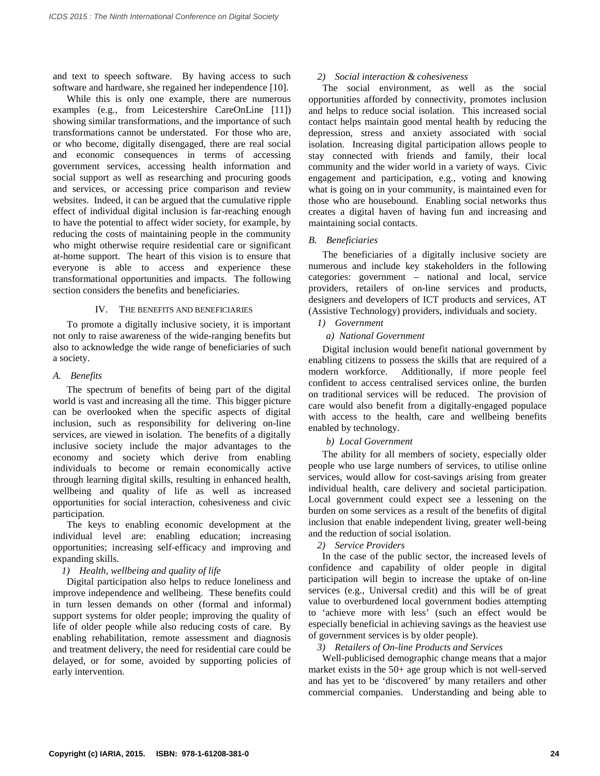and text to speech software. By having access to such software and hardware, she regained her independence [10].

While this is only one example, there are numerous examples (e.g., from Leicestershire CareOnLine [11]) showing similar transformations, and the importance of such transformations cannot be understated. For those who are, or who become, digitally disengaged, there are real social and economic consequences in terms of accessing government services, accessing health information and social support as well as researching and procuring goods and services, or accessing price comparison and review websites. Indeed, it can be argued that the cumulative ripple effect of individual digital inclusion is far-reaching enough to have the potential to affect wider society, for example, by reducing the costs of maintaining people in the community who might otherwise require residential care or significant at-home support. The heart of this vision is to ensure that everyone is able to access and experience these transformational opportunities and impacts. The following section considers the benefits and beneficiaries.

# IV. THE BENEFITS AND BENEFICIARIES

To promote a digitally inclusive society, it is important not only to raise awareness of the wide-ranging benefits but also to acknowledge the wide range of beneficiaries of such a society.

# *A. Benefits*

The spectrum of benefits of being part of the digital world is vast and increasing all the time. This bigger picture can be overlooked when the specific aspects of digital inclusion, such as responsibility for delivering on-line services, are viewed in isolation. The benefits of a digitally inclusive society include the major advantages to the economy and society which derive from enabling individuals to become or remain economically active through learning digital skills, resulting in enhanced health, wellbeing and quality of life as well as increased opportunities for social interaction, cohesiveness and civic participation.

The keys to enabling economic development at the individual level are: enabling education; increasing opportunities; increasing self-efficacy and improving and expanding skills.

# *1) Health, wellbeing and quality of life*

Digital participation also helps to reduce loneliness and improve independence and wellbeing. These benefits could in turn lessen demands on other (formal and informal) support systems for older people; improving the quality of life of older people while also reducing costs of care. By enabling rehabilitation, remote assessment and diagnosis and treatment delivery, the need for residential care could be delayed, or for some, avoided by supporting policies of early intervention.

# *2) Social interaction & cohesiveness*

The social environment, as well as the social opportunities afforded by connectivity, promotes inclusion and helps to reduce social isolation. This increased social contact helps maintain good mental health by reducing the depression, stress and anxiety associated with social isolation. Increasing digital participation allows people to stay connected with friends and family, their local community and the wider world in a variety of ways. Civic engagement and participation, e.g., voting and knowing what is going on in your community, is maintained even for those who are housebound. Enabling social networks thus creates a digital haven of having fun and increasing and maintaining social contacts.

# *B. Beneficiaries*

The beneficiaries of a digitally inclusive society are numerous and include key stakeholders in the following categories: government – national and local, service providers, retailers of on-line services and products, designers and developers of ICT products and services, AT (Assistive Technology) providers, individuals and society.

# *1) Government*

# *a) National Government*

Digital inclusion would benefit national government by enabling citizens to possess the skills that are required of a modern workforce. Additionally, if more people feel confident to access centralised services online, the burden on traditional services will be reduced. The provision of care would also benefit from a digitally-engaged populace with access to the health, care and wellbeing benefits enabled by technology.

# *b) Local Government*

The ability for all members of society, especially older people who use large numbers of services, to utilise online services, would allow for cost-savings arising from greater individual health, care delivery and societal participation. Local government could expect see a lessening on the burden on some services as a result of the benefits of digital inclusion that enable independent living, greater well-being and the reduction of social isolation.

*2) Service Providers*

In the case of the public sector, the increased levels of confidence and capability of older people in digital participation will begin to increase the uptake of on-line services (e.g., Universal credit) and this will be of great value to overburdened local government bodies attempting to 'achieve more with less' (such an effect would be especially beneficial in achieving savings as the heaviest use of government services is by older people).

### *3) Retailers of On-line Products and Services*

Well-publicised demographic change means that a major market exists in the 50+ age group which is not well-served and has yet to be 'discovered' by many retailers and other commercial companies. Understanding and being able to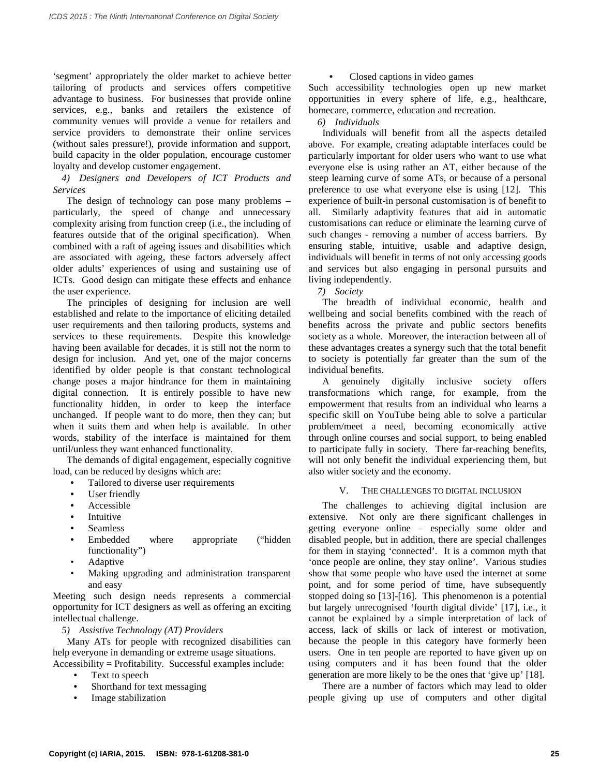'segment' appropriately the older market to achieve better tailoring of products and services offers competitive advantage to business. For businesses that provide online services, e.g., banks and retailers the existence of community venues will provide a venue for retailers and service providers to demonstrate their online services (without sales pressure!), provide information and support, build capacity in the older population, encourage customer loyalty and develop customer engagement.

*4) Designers and Developers of ICT Products and Services*

The design of technology can pose many problems – particularly, the speed of change and unnecessary complexity arising from function creep (i.e., the including of features outside that of the original specification). When combined with a raft of ageing issues and disabilities which are associated with ageing, these factors adversely affect older adults' experiences of using and sustaining use of ICTs. Good design can mitigate these effects and enhance the user experience.

The principles of designing for inclusion are well established and relate to the importance of eliciting detailed user requirements and then tailoring products, systems and services to these requirements. Despite this knowledge having been available for decades, it is still not the norm to design for inclusion. And yet, one of the major concerns identified by older people is that constant technological change poses a major hindrance for them in maintaining digital connection. It is entirely possible to have new functionality hidden, in order to keep the interface unchanged. If people want to do more, then they can; but when it suits them and when help is available. In other words, stability of the interface is maintained for them until/unless they want enhanced functionality.

The demands of digital engagement, especially cognitive load, can be reduced by designs which are:

- Tailored to diverse user requirements
- User friendly
- Accessible
- **Intuitive**
- **Seamless**
- Embedded where appropriate ("hidden functionality")
- Adaptive
- Making upgrading and administration transparent and easy

Meeting such design needs represents a commercial opportunity for ICT designers as well as offering an exciting intellectual challenge.

*5) Assistive Technology (AT) Providers*

Many ATs for people with recognized disabilities can help everyone in demanding or extreme usage situations.

- Accessibility = Profitability. Successful examples include:
	- Text to speech
	- Shorthand for text messaging
	- Image stabilization

# • Closed captions in video games

Such accessibility technologies open up new market opportunities in every sphere of life, e.g., healthcare, homecare, commerce, education and recreation.

*6) Individuals*

Individuals will benefit from all the aspects detailed above. For example, creating adaptable interfaces could be particularly important for older users who want to use what everyone else is using rather an AT, either because of the steep learning curve of some ATs, or because of a personal preference to use what everyone else is using [12]. This experience of built-in personal customisation is of benefit to all. Similarly adaptivity features that aid in automatic customisations can reduce or eliminate the learning curve of such changes - removing a number of access barriers. By ensuring stable, intuitive, usable and adaptive design, individuals will benefit in terms of not only accessing goods and services but also engaging in personal pursuits and living independently.

*7) Society*

The breadth of individual economic, health and wellbeing and social benefits combined with the reach of benefits across the private and public sectors benefits society as a whole. Moreover, the interaction between all of these advantages creates a synergy such that the total benefit to society is potentially far greater than the sum of the individual benefits.

A genuinely digitally inclusive society offers transformations which range, for example, from the empowerment that results from an individual who learns a specific skill on YouTube being able to solve a particular problem/meet a need, becoming economically active through online courses and social support, to being enabled to participate fully in society. There far-reaching benefits, will not only benefit the individual experiencing them, but also wider society and the economy.

# V. THE CHALLENGES TO DIGITAL INCLUSION

The challenges to achieving digital inclusion are extensive. Not only are there significant challenges in getting everyone online – especially some older and disabled people, but in addition, there are special challenges for them in staying 'connected'. It is a common myth that 'once people are online, they stay online'. Various studies show that some people who have used the internet at some point, and for some period of time, have subsequently stopped doing so [13]-[16]. This phenomenon is a potential but largely unrecognised 'fourth digital divide' [17], i.e., it cannot be explained by a simple interpretation of lack of access, lack of skills or lack of interest or motivation, because the people in this category have formerly been users. One in ten people are reported to have given up on using computers and it has been found that the older generation are more likely to be the ones that 'give up' [18].

There are a number of factors which may lead to older people giving up use of computers and other digital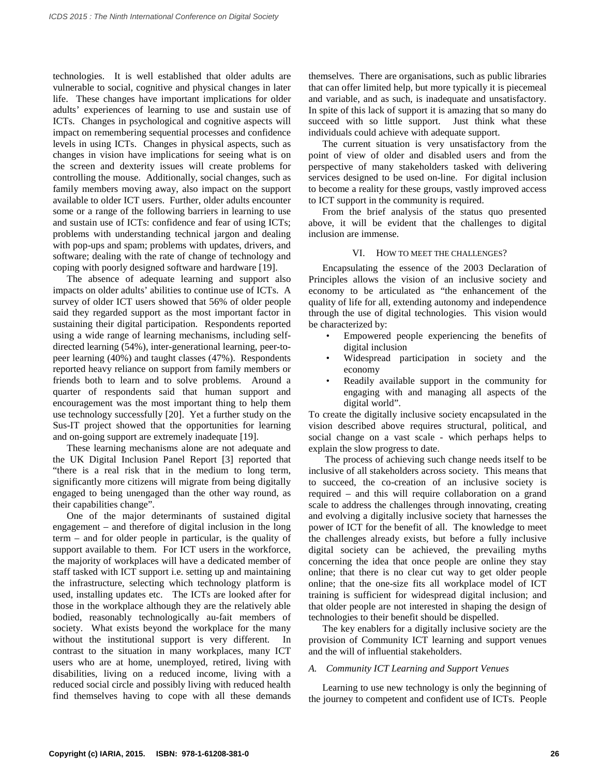technologies. It is well established that older adults are vulnerable to social, cognitive and physical changes in later life. These changes have important implications for older adults' experiences of learning to use and sustain use of ICTs. Changes in psychological and cognitive aspects will impact on remembering sequential processes and confidence levels in using ICTs. Changes in physical aspects, such as changes in vision have implications for seeing what is on the screen and dexterity issues will create problems for controlling the mouse. Additionally, social changes, such as family members moving away, also impact on the support available to older ICT users. Further, older adults encounter some or a range of the following barriers in learning to use and sustain use of ICTs: confidence and fear of using ICTs; problems with understanding technical jargon and dealing with pop-ups and spam; problems with updates, drivers, and software; dealing with the rate of change of technology and coping with poorly designed software and hardware [19].

The absence of adequate learning and support also impacts on older adults' abilities to continue use of ICTs. A survey of older ICT users showed that 56% of older people said they regarded support as the most important factor in sustaining their digital participation. Respondents reported using a wide range of learning mechanisms, including selfdirected learning (54%), inter-generational learning, peer-topeer learning (40%) and taught classes (47%). Respondents reported heavy reliance on support from family members or friends both to learn and to solve problems. Around a quarter of respondents said that human support and encouragement was the most important thing to help them use technology successfully [20]. Yet a further study on the Sus-IT project showed that the opportunities for learning and on-going support are extremely inadequate [19].

These learning mechanisms alone are not adequate and the UK Digital Inclusion Panel Report [3] reported that "there is a real risk that in the medium to long term, significantly more citizens will migrate from being digitally engaged to being unengaged than the other way round, as their capabilities change".

One of the major determinants of sustained digital engagement – and therefore of digital inclusion in the long term – and for older people in particular, is the quality of support available to them. For ICT users in the workforce, the majority of workplaces will have a dedicated member of staff tasked with ICT support i.e. setting up and maintaining the infrastructure, selecting which technology platform is used, installing updates etc. The ICTs are looked after for those in the workplace although they are the relatively able bodied, reasonably technologically au-fait members of society. What exists beyond the workplace for the many without the institutional support is very different. In contrast to the situation in many workplaces, many ICT users who are at home, unemployed, retired, living with disabilities, living on a reduced income, living with a reduced social circle and possibly living with reduced health find themselves having to cope with all these demands

themselves. There are organisations, such as public libraries that can offer limited help, but more typically it is piecemeal and variable, and as such, is inadequate and unsatisfactory. In spite of this lack of support it is amazing that so many do succeed with so little support. Just think what these individuals could achieve with adequate support.

The current situation is very unsatisfactory from the point of view of older and disabled users and from the perspective of many stakeholders tasked with delivering services designed to be used on-line. For digital inclusion to become a reality for these groups, vastly improved access to ICT support in the community is required.

From the brief analysis of the status quo presented above, it will be evident that the challenges to digital inclusion are immense.

### VI. HOW TO MEET THE CHALLENGES?

Encapsulating the essence of the 2003 Declaration of Principles allows the vision of an inclusive society and economy to be articulated as "the enhancement of the quality of life for all, extending autonomy and independence through the use of digital technologies. This vision would be characterized by:

- Empowered people experiencing the benefits of digital inclusion
- Widespread participation in society and the economy
- Readily available support in the community for engaging with and managing all aspects of the digital world".

To create the digitally inclusive society encapsulated in the vision described above requires structural, political, and social change on a vast scale - which perhaps helps to explain the slow progress to date.

The process of achieving such change needs itself to be inclusive of all stakeholders across society. This means that to succeed, the co-creation of an inclusive society is required – and this will require collaboration on a grand scale to address the challenges through innovating, creating and evolving a digitally inclusive society that harnesses the power of ICT for the benefit of all. The knowledge to meet the challenges already exists, but before a fully inclusive digital society can be achieved, the prevailing myths concerning the idea that once people are online they stay online; that there is no clear cut way to get older people online; that the one-size fits all workplace model of ICT training is sufficient for widespread digital inclusion; and that older people are not interested in shaping the design of technologies to their benefit should be dispelled.

The key enablers for a digitally inclusive society are the provision of Community ICT learning and support venues and the will of influential stakeholders.

#### *A. Community ICT Learning and Support Venues*

Learning to use new technology is only the beginning of the journey to competent and confident use of ICTs. People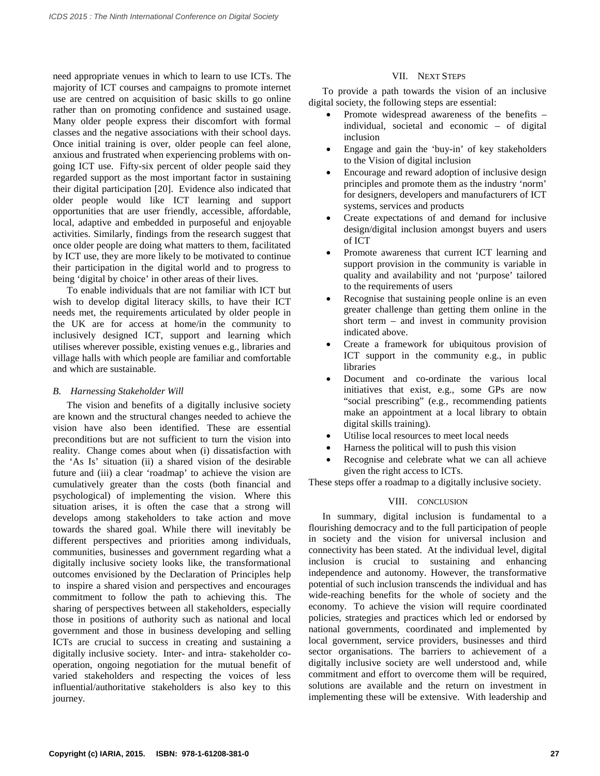need appropriate venues in which to learn to use ICTs. The majority of ICT courses and campaigns to promote internet use are centred on acquisition of basic skills to go online rather than on promoting confidence and sustained usage. Many older people express their discomfort with formal classes and the negative associations with their school days. Once initial training is over, older people can feel alone, anxious and frustrated when experiencing problems with ongoing ICT use. Fifty-six percent of older people said they regarded support as the most important factor in sustaining their digital participation [20]. Evidence also indicated that older people would like ICT learning and support opportunities that are user friendly, accessible, affordable, local, adaptive and embedded in purposeful and enjoyable activities. Similarly, findings from the research suggest that once older people are doing what matters to them, facilitated by ICT use, they are more likely to be motivated to continue their participation in the digital world and to progress to being 'digital by choice' in other areas of their lives.

To enable individuals that are not familiar with ICT but wish to develop digital literacy skills, to have their ICT needs met, the requirements articulated by older people in the UK are for access at home/in the community to inclusively designed ICT, support and learning which utilises wherever possible, existing venues e.g., libraries and village halls with which people are familiar and comfortable and which are sustainable.

# *B. Harnessing Stakeholder Will*

The vision and benefits of a digitally inclusive society are known and the structural changes needed to achieve the vision have also been identified. These are essential preconditions but are not sufficient to turn the vision into reality. Change comes about when (i) dissatisfaction with the 'As Is' situation (ii) a shared vision of the desirable future and (iii) a clear 'roadmap' to achieve the vision are cumulatively greater than the costs (both financial and psychological) of implementing the vision. Where this situation arises, it is often the case that a strong will develops among stakeholders to take action and move towards the shared goal. While there will inevitably be different perspectives and priorities among individuals, communities, businesses and government regarding what a digitally inclusive society looks like, the transformational outcomes envisioned by the Declaration of Principles help to inspire a shared vision and perspectives and encourages commitment to follow the path to achieving this. The sharing of perspectives between all stakeholders, especially those in positions of authority such as national and local government and those in business developing and selling ICTs are crucial to success in creating and sustaining a digitally inclusive society. Inter- and intra- stakeholder cooperation, ongoing negotiation for the mutual benefit of varied stakeholders and respecting the voices of less influential/authoritative stakeholders is also key to this journey.

# VII. NEXT STEPS

To provide a path towards the vision of an inclusive digital society, the following steps are essential:

- Promote widespread awareness of the benefits individual, societal and economic – of digital inclusion
- Engage and gain the 'buy-in' of key stakeholders to the Vision of digital inclusion
- Encourage and reward adoption of inclusive design principles and promote them as the industry 'norm' for designers, developers and manufacturers of ICT systems, services and products
- Create expectations of and demand for inclusive design/digital inclusion amongst buyers and users of ICT
- Promote awareness that current ICT learning and support provision in the community is variable in quality and availability and not 'purpose' tailored to the requirements of users
- Recognise that sustaining people online is an even greater challenge than getting them online in the short term – and invest in community provision indicated above.
- Create a framework for ubiquitous provision of ICT support in the community e.g., in public libraries
- Document and co-ordinate the various local initiatives that exist, e.g., some GPs are now "social prescribing" (e.g., recommending patients make an appointment at a local library to obtain digital skills training).
- Utilise local resources to meet local needs
- Harness the political will to push this vision
- Recognise and celebrate what we can all achieve given the right access to ICTs.

These steps offer a roadmap to a digitally inclusive society.

### VIII. CONCLUSION

In summary, digital inclusion is fundamental to a flourishing democracy and to the full participation of people in society and the vision for universal inclusion and connectivity has been stated. At the individual level, digital inclusion is crucial to sustaining and enhancing independence and autonomy. However, the transformative potential of such inclusion transcends the individual and has wide-reaching benefits for the whole of society and the economy. To achieve the vision will require coordinated policies, strategies and practices which led or endorsed by national governments, coordinated and implemented by local government, service providers, businesses and third sector organisations. The barriers to achievement of a digitally inclusive society are well understood and, while commitment and effort to overcome them will be required, solutions are available and the return on investment in implementing these will be extensive. With leadership and